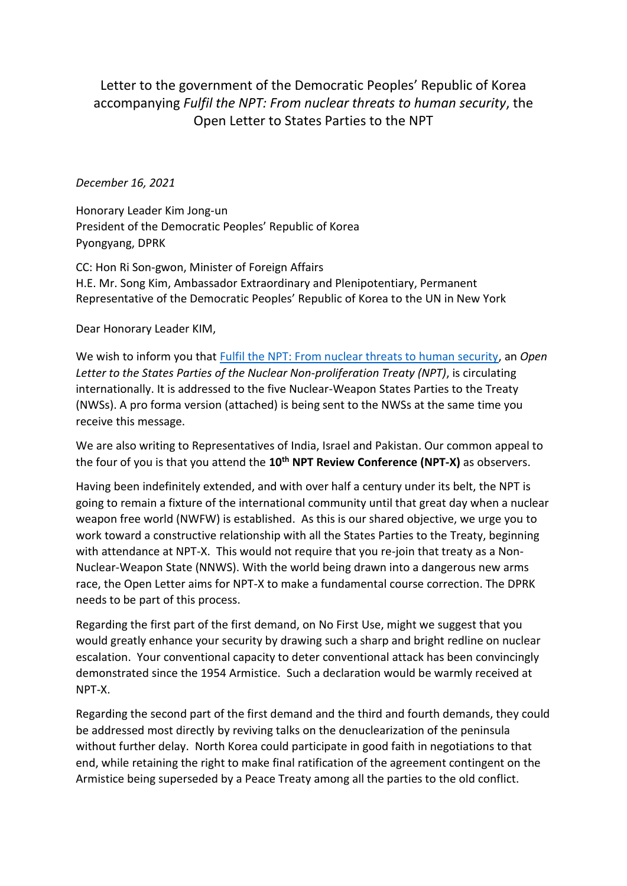## Letter to the government of the Democratic Peoples' Republic of Korea accompanying *Fulfil the NPT: From nuclear threats to human security*, the Open Letter to States Parties to the NPT

## *December 16, 2021*

Honorary Leader Kim Jong-un President of the Democratic Peoples' Republic of Korea Pyongyang, DPRK

CC: Hon Ri Son-gwon, Minister of Foreign Affairs H.E. Mr. Song Kim, Ambassador Extraordinary and Plenipotentiary, Permanent Representative of the Democratic Peoples' Republic of Korea to the UN in New York

Dear Honorary Leader KIM,

We wish to inform you that [Fulfil the NPT: From nuclear threats to human security,](https://nofirstuse.global/fulfil-the-npt-from-nuclear-threats-to-human-security/) an *Open Letter to the States Parties of the Nuclear Non-proliferation Treaty (NPT)*, is circulating internationally. It is addressed to the five Nuclear-Weapon States Parties to the Treaty (NWSs). A pro forma version (attached) is being sent to the NWSs at the same time you receive this message.

We are also writing to Representatives of India, Israel and Pakistan. Our common appeal to the four of you is that you attend the **10th NPT Review Conference (NPT-X)** as observers.

Having been indefinitely extended, and with over half a century under its belt, the NPT is going to remain a fixture of the international community until that great day when a nuclear weapon free world (NWFW) is established. As this is our shared objective, we urge you to work toward a constructive relationship with all the States Parties to the Treaty, beginning with attendance at NPT-X. This would not require that you re-join that treaty as a Non-Nuclear-Weapon State (NNWS). With the world being drawn into a dangerous new arms race, the Open Letter aims for NPT-X to make a fundamental course correction. The DPRK needs to be part of this process.

Regarding the first part of the first demand, on No First Use, might we suggest that you would greatly enhance your security by drawing such a sharp and bright redline on nuclear escalation. Your conventional capacity to deter conventional attack has been convincingly demonstrated since the 1954 Armistice. Such a declaration would be warmly received at NPT-X.

Regarding the second part of the first demand and the third and fourth demands, they could be addressed most directly by reviving talks on the denuclearization of the peninsula without further delay. North Korea could participate in good faith in negotiations to that end, while retaining the right to make final ratification of the agreement contingent on the Armistice being superseded by a Peace Treaty among all the parties to the old conflict.